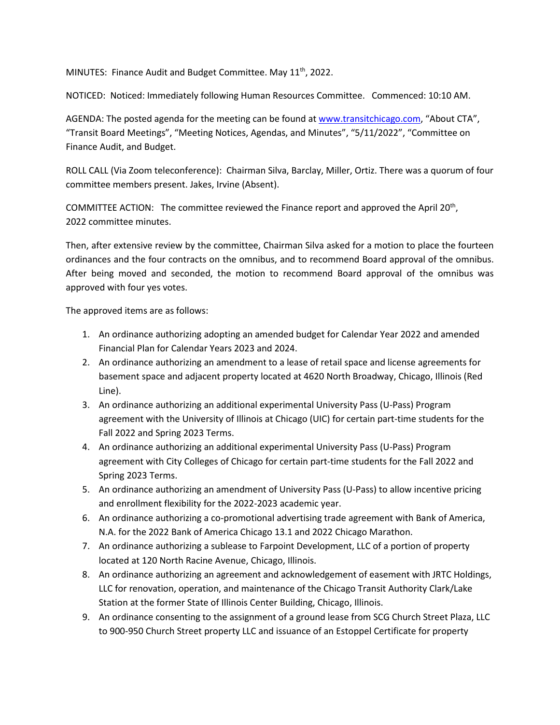MINUTES: Finance Audit and Budget Committee. May  $11<sup>th</sup>$ , 2022.

NOTICED: Noticed: Immediately following Human Resources Committee. Commenced: 10:10 AM.

AGENDA: The posted agenda for the meeting can be found a[t www.transitchicago.com,](http://www.transitchicago.com/) "About CTA", "Transit Board Meetings", "Meeting Notices, Agendas, and Minutes", "5/11/2022", "Committee on Finance Audit, and Budget.

ROLL CALL (Via Zoom teleconference): Chairman Silva, Barclay, Miller, Ortiz. There was a quorum of four committee members present. Jakes, Irvine (Absent).

COMMITTEE ACTION: The committee reviewed the Finance report and approved the April 20th, 2022 committee minutes.

Then, after extensive review by the committee, Chairman Silva asked for a motion to place the fourteen ordinances and the four contracts on the omnibus, and to recommend Board approval of the omnibus. After being moved and seconded, the motion to recommend Board approval of the omnibus was approved with four yes votes.

The approved items are as follows:

- 1. An ordinance authorizing adopting an amended budget for Calendar Year 2022 and amended Financial Plan for Calendar Years 2023 and 2024.
- 2. An ordinance authorizing an amendment to a lease of retail space and license agreements for basement space and adjacent property located at 4620 North Broadway, Chicago, Illinois (Red Line).
- 3. An ordinance authorizing an additional experimental University Pass (U-Pass) Program agreement with the University of Illinois at Chicago (UIC) for certain part-time students for the Fall 2022 and Spring 2023 Terms.
- 4. An ordinance authorizing an additional experimental University Pass (U-Pass) Program agreement with City Colleges of Chicago for certain part-time students for the Fall 2022 and Spring 2023 Terms.
- 5. An ordinance authorizing an amendment of University Pass (U-Pass) to allow incentive pricing and enrollment flexibility for the 2022-2023 academic year.
- 6. An ordinance authorizing a co-promotional advertising trade agreement with Bank of America, N.A. for the 2022 Bank of America Chicago 13.1 and 2022 Chicago Marathon.
- 7. An ordinance authorizing a sublease to Farpoint Development, LLC of a portion of property located at 120 North Racine Avenue, Chicago, Illinois.
- 8. An ordinance authorizing an agreement and acknowledgement of easement with JRTC Holdings, LLC for renovation, operation, and maintenance of the Chicago Transit Authority Clark/Lake Station at the former State of Illinois Center Building, Chicago, Illinois.
- 9. An ordinance consenting to the assignment of a ground lease from SCG Church Street Plaza, LLC to 900-950 Church Street property LLC and issuance of an Estoppel Certificate for property